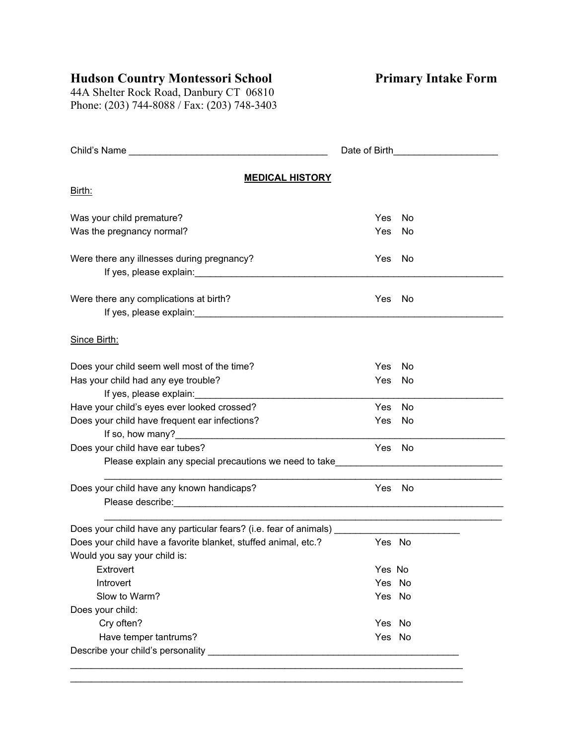## **Hudson Country Montessori School**

**Primary Intake Form**

44A Shelter Rock Road, Danbury CT 06810 Phone: (203) 744-8088 / Fax: (203) 748-3403

|                                                                                                                                                                                                                                                               | Date of Birth <b>Exercise 2008</b> |           |  |
|---------------------------------------------------------------------------------------------------------------------------------------------------------------------------------------------------------------------------------------------------------------|------------------------------------|-----------|--|
| <b>MEDICAL HISTORY</b>                                                                                                                                                                                                                                        |                                    |           |  |
| <u>Birth:</u>                                                                                                                                                                                                                                                 |                                    |           |  |
| Was your child premature?                                                                                                                                                                                                                                     | Yes                                | No        |  |
| Was the pregnancy normal?                                                                                                                                                                                                                                     | Yes                                | <b>No</b> |  |
| Were there any illnesses during pregnancy?                                                                                                                                                                                                                    | Yes                                | <b>No</b> |  |
| Were there any complications at birth?                                                                                                                                                                                                                        | Yes                                | - No      |  |
| Since Birth:                                                                                                                                                                                                                                                  |                                    |           |  |
| Does your child seem well most of the time?                                                                                                                                                                                                                   | <b>Yes</b>                         | No        |  |
| Has your child had any eye trouble?                                                                                                                                                                                                                           | Yes                                | <b>No</b> |  |
| If yes, please explain:<br>Have your child's eyes ever looked crossed?                                                                                                                                                                                        | Yes                                | No        |  |
| Does your child have frequent ear infections?                                                                                                                                                                                                                 | Yes                                | - No      |  |
|                                                                                                                                                                                                                                                               |                                    |           |  |
| Does your child have ear tubes?                                                                                                                                                                                                                               | Yes                                | - No      |  |
| Please explain any special precautions we need to take__________________________                                                                                                                                                                              |                                    |           |  |
| Does your child have any known handicaps?                                                                                                                                                                                                                     | Yes                                | No        |  |
| Does your child have any particular fears? (i.e. fear of animals) _________                                                                                                                                                                                   |                                    |           |  |
| Does your child have a favorite blanket, stuffed animal, etc.?<br>Would you say your child is:                                                                                                                                                                | Yes No                             |           |  |
| Extrovert                                                                                                                                                                                                                                                     | Yes No                             |           |  |
| Introvert                                                                                                                                                                                                                                                     | Yes No                             |           |  |
| Slow to Warm?                                                                                                                                                                                                                                                 | Yes No                             |           |  |
| Does your child:                                                                                                                                                                                                                                              |                                    |           |  |
| Cry often?                                                                                                                                                                                                                                                    | Yes No<br>Yes No                   |           |  |
| Have temper tantrums?<br>Describe your child's personality <b>container the contract of the contract of the contract of the contract of the contract of the contract of the contract of the contract of the contract of the contract of the contract of t</b> |                                    |           |  |
|                                                                                                                                                                                                                                                               |                                    |           |  |

\_\_\_\_\_\_\_\_\_\_\_\_\_\_\_\_\_\_\_\_\_\_\_\_\_\_\_\_\_\_\_\_\_\_\_\_\_\_\_\_\_\_\_\_\_\_\_\_\_\_\_\_\_\_\_\_\_\_\_\_\_\_\_\_\_\_\_\_\_\_\_\_\_\_\_